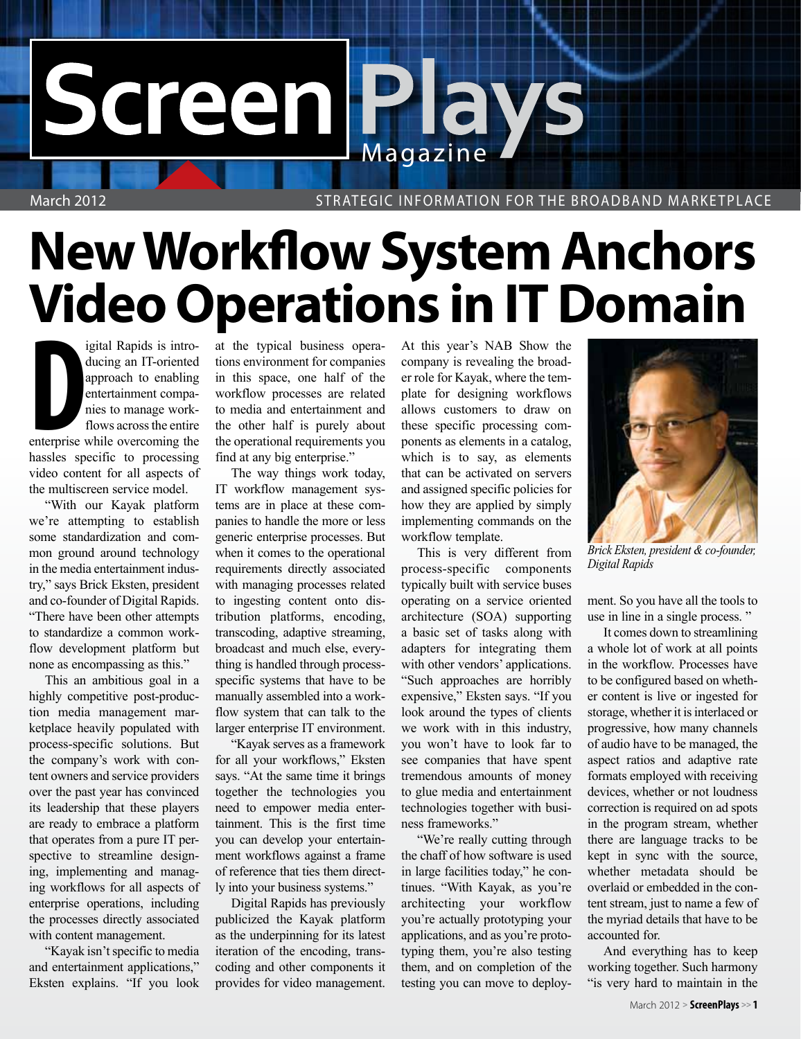## Screen Plays

March 2012 Strategic Information for the Broadband Marketplace

## **New Workflow System Anchors Video Operations in IT Domain**

**Example 18 Equilibrium School September 2013 Introducing an IT-oriented approach to enabling entertainment companies to manage work-flows across the entire enterprise while overcoming the** igital Rapids is introducing an IT-oriented approach to enabling entertainment companies to manage workflows across the entire hassles specific to processing video content for all aspects of the multiscreen service model.

"With our Kayak platform we're attempting to establish some standardization and common ground around technology in the media entertainment industry," says Brick Eksten, president and co-founder of Digital Rapids. "There have been other attempts to standardize a common workflow development platform but none as encompassing as this."

This an ambitious goal in a highly competitive post-production media management marketplace heavily populated with process-specific solutions. But the company's work with content owners and service providers over the past year has convinced its leadership that these players are ready to embrace a platform that operates from a pure IT perspective to streamline designing, implementing and managing workflows for all aspects of enterprise operations, including the processes directly associated with content management.

"Kayak isn't specific to media and entertainment applications," Eksten explains. "If you look at the typical business operations environment for companies in this space, one half of the workflow processes are related to media and entertainment and the other half is purely about the operational requirements you find at any big enterprise."

The way things work today, IT workflow management systems are in place at these companies to handle the more or less generic enterprise processes. But when it comes to the operational requirements directly associated with managing processes related to ingesting content onto distribution platforms, encoding, transcoding, adaptive streaming, broadcast and much else, everything is handled through processspecific systems that have to be manually assembled into a workflow system that can talk to the larger enterprise IT environment.

"Kayak serves as a framework for all your workflows," Eksten says. "At the same time it brings together the technologies you need to empower media entertainment. This is the first time you can develop your entertainment workflows against a frame of reference that ties them directly into your business systems."

Digital Rapids has previously publicized the Kayak platform as the underpinning for its latest iteration of the encoding, transcoding and other components it provides for video management. At this year's NAB Show the company is revealing the broader role for Kayak, where the template for designing workflows allows customers to draw on these specific processing components as elements in a catalog, which is to say, as elements that can be activated on servers and assigned specific policies for how they are applied by simply implementing commands on the workflow template.

This is very different from process-specific components typically built with service buses operating on a service oriented architecture (SOA) supporting a basic set of tasks along with adapters for integrating them with other vendors' applications. "Such approaches are horribly expensive," Eksten says. "If you look around the types of clients we work with in this industry, you won't have to look far to see companies that have spent tremendous amounts of money to glue media and entertainment technologies together with business frameworks."

"We're really cutting through the chaff of how software is used in large facilities today," he continues. "With Kayak, as you're architecting your workflow you're actually prototyping your applications, and as you're prototyping them, you're also testing them, and on completion of the testing you can move to deploy-



*Brick Eksten, president & co-founder, Digital Rapids*

ment. So you have all the tools to use in line in a single process. "

It comes down to streamlining a whole lot of work at all points in the workflow. Processes have to be configured based on whether content is live or ingested for storage, whether it is interlaced or progressive, how many channels of audio have to be managed, the aspect ratios and adaptive rate formats employed with receiving devices, whether or not loudness correction is required on ad spots in the program stream, whether there are language tracks to be kept in sync with the source, whether metadata should be overlaid or embedded in the content stream, just to name a few of the myriad details that have to be accounted for.

And everything has to keep working together. Such harmony "is very hard to maintain in the